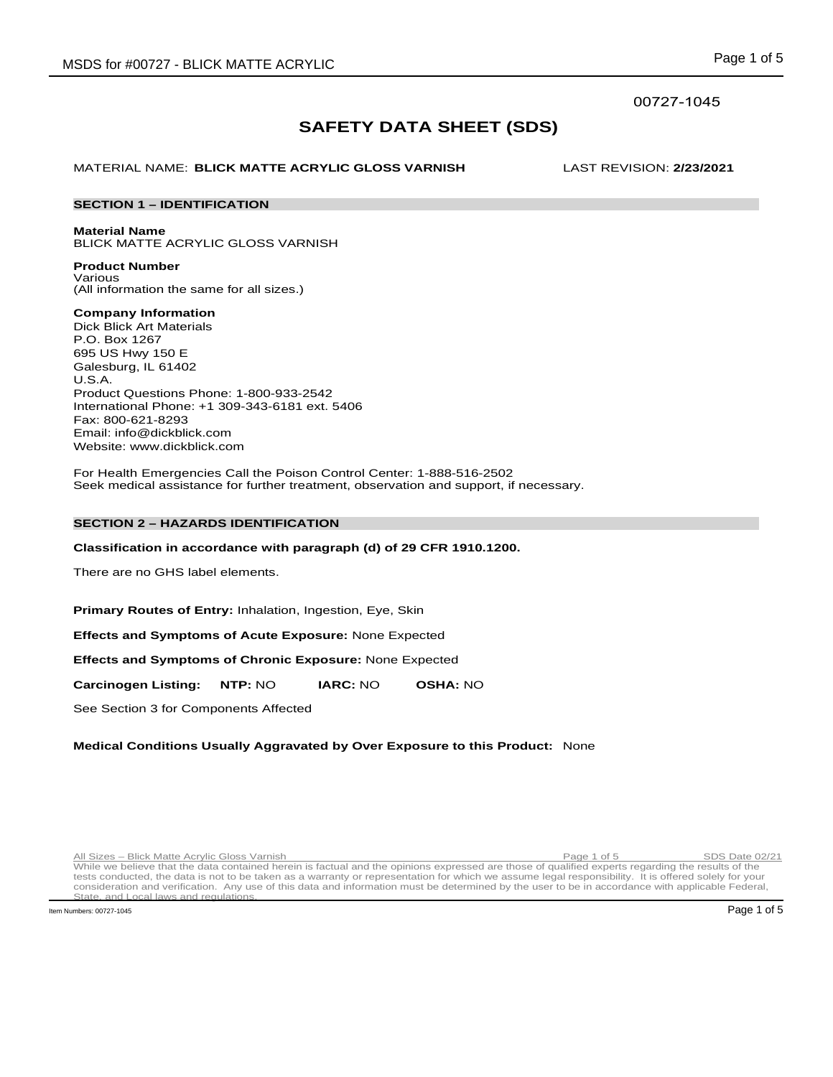# 00727-1045

# **SAFETY DATA SHEET (SDS)**

MATERIAL NAME: **BLICK MATTE ACRYLIC GLOSS VARNISH** LAST REVISION: **2/23/2021**

# **SECTION 1 – IDENTIFICATION**

**Material Name**

BLICK MATTE ACRYLIC GLOSS VARNISH

**Product Number** Various (All information the same for all sizes.)

**Company Information**

Dick Blick Art Materials P.O. Box 1267 695 US Hwy 150 E Galesburg, IL 61402 U.S.A. Product Questions Phone: 1-800-933-2542 International Phone: +1 309-343-6181 ext. 5406 Fax: 800-621-8293 Email: info@dickblick.com Website: www.dickblick.com

For Health Emergencies Call the Poison Control Center: 1-888-516-2502 Seek medical assistance for further treatment, observation and support, if necessary.

# **SECTION 2 – HAZARDS IDENTIFICATION**

# **Classification in accordance with paragraph (d) of 29 CFR 1910.1200.**

There are no GHS label elements.

**Primary Routes of Entry:** Inhalation, Ingestion, Eye, Skin

**Effects and Symptoms of Acute Exposure:** None Expected

**Effects and Symptoms of Chronic Exposure:** None Expected

**Carcinogen Listing: NTP:** NO **IARC:** NO **OSHA:** NO

See Section 3 for Components Affected

# **Medical Conditions Usually Aggravated by Over Exposure to this Product:** None

Run Sizes – Blick Matte Acrylic Gloss Varnish **Page 1 of 5** Page 1 of 5 SDS Date 02/21<br>While we believe that the data contained herein is factual and the opinions expressed are those of qualified experts regarding the resu tests conducted, the data is not to be taken as a warranty or representation for which we assume legal responsibility. It is offered solely for your consideration and verification. Any use of this data and information must be determined by the user to be in accordance with applicable Federal, State, and Local laws and regulation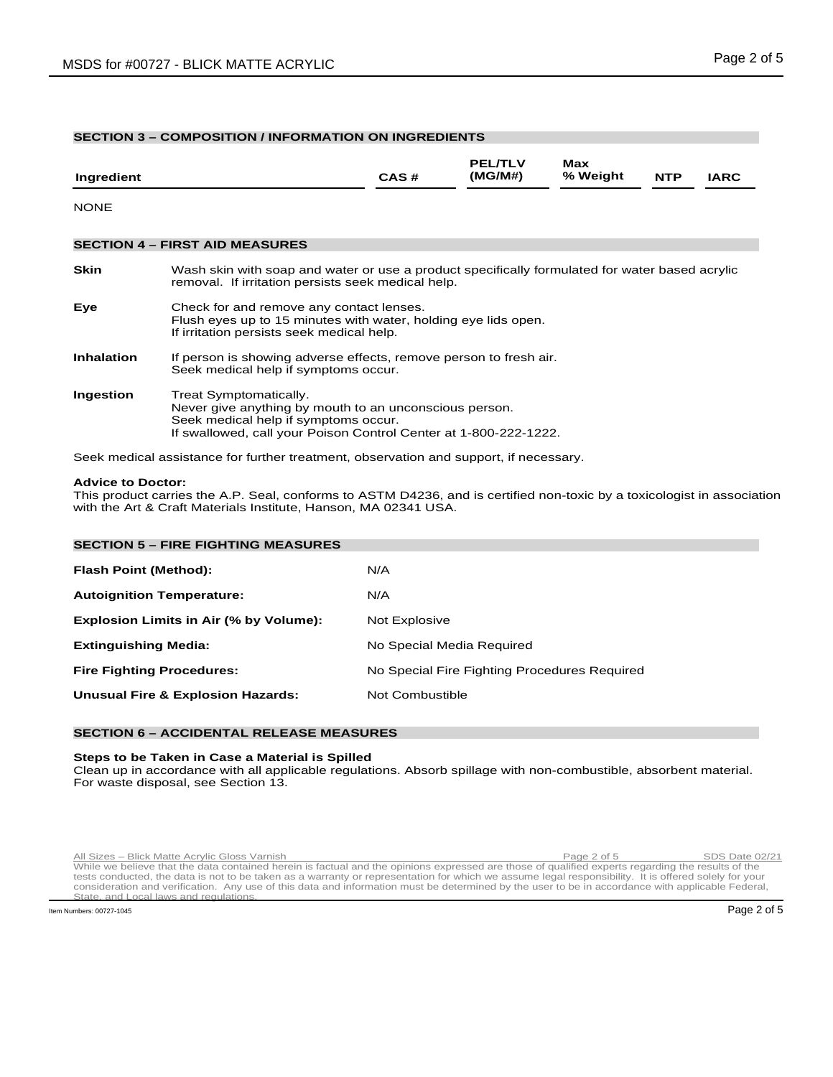# **SECTION 3 – COMPOSITION / INFORMATION ON INGREDIENTS**

| Ingredient        |                                                                                                                                                                                              | CAS# | <b>PEL/TLV</b><br>(MG/M#) | Max<br>% Weight | <b>NTP</b> | <b>IARC</b> |
|-------------------|----------------------------------------------------------------------------------------------------------------------------------------------------------------------------------------------|------|---------------------------|-----------------|------------|-------------|
| <b>NONE</b>       |                                                                                                                                                                                              |      |                           |                 |            |             |
|                   | <b>SECTION 4 - FIRST AID MEASURES</b>                                                                                                                                                        |      |                           |                 |            |             |
| <b>Skin</b>       | Wash skin with soap and water or use a product specifically formulated for water based acrylic<br>removal. If irritation persists seek medical help.                                         |      |                           |                 |            |             |
| Eye               | Check for and remove any contact lenses.<br>Flush eyes up to 15 minutes with water, holding eye lids open.<br>If irritation persists seek medical help.                                      |      |                           |                 |            |             |
| <b>Inhalation</b> | If person is showing adverse effects, remove person to fresh air.<br>Seek medical help if symptoms occur.                                                                                    |      |                           |                 |            |             |
| Ingestion         | Treat Symptomatically.<br>Never give anything by mouth to an unconscious person.<br>Seek medical help if symptoms occur.<br>If swallowed, call your Poison Control Center at 1-800-222-1222. |      |                           |                 |            |             |

Seek medical assistance for further treatment, observation and support, if necessary.

## **Advice to Doctor:**

This product carries the A.P. Seal, conforms to ASTM D4236, and is certified non-toxic by a toxicologist in association with the Art & Craft Materials Institute, Hanson, MA 02341 USA.

| <b>SECTION 5 - FIRE FIGHTING MEASURES</b>    |                                              |  |  |  |  |
|----------------------------------------------|----------------------------------------------|--|--|--|--|
| <b>Flash Point (Method):</b>                 | N/A                                          |  |  |  |  |
| <b>Autoignition Temperature:</b>             | N/A                                          |  |  |  |  |
| Explosion Limits in Air (% by Volume):       | Not Explosive                                |  |  |  |  |
| <b>Extinguishing Media:</b>                  | No Special Media Required                    |  |  |  |  |
| <b>Fire Fighting Procedures:</b>             | No Special Fire Fighting Procedures Required |  |  |  |  |
| <b>Unusual Fire &amp; Explosion Hazards:</b> | Not Combustible                              |  |  |  |  |
|                                              |                                              |  |  |  |  |

# **SECTION 6 – ACCIDENTAL RELEASE MEASURES**

# **Steps to be Taken in Case a Material is Spilled**

Clean up in accordance with all applicable regulations. Absorb spillage with non-combustible, absorbent material. For waste disposal, see Section 13.

Run Sizes – Blick Matte Acrylic Gloss Varnish **Page 2 of 5** Page 2 of 5 SDS Date 02/21<br>While we believe that the data contained herein is factual and the opinions expressed are those of qualified experts regarding the resu tests conducted, the data is not to be taken as a warranty or representation for which we assume legal responsibility. It is offered solely for your consideration and verification. Any use of this data and information must be determined by the user to be in accordance with applicable Federal, State, and Local laws and regulation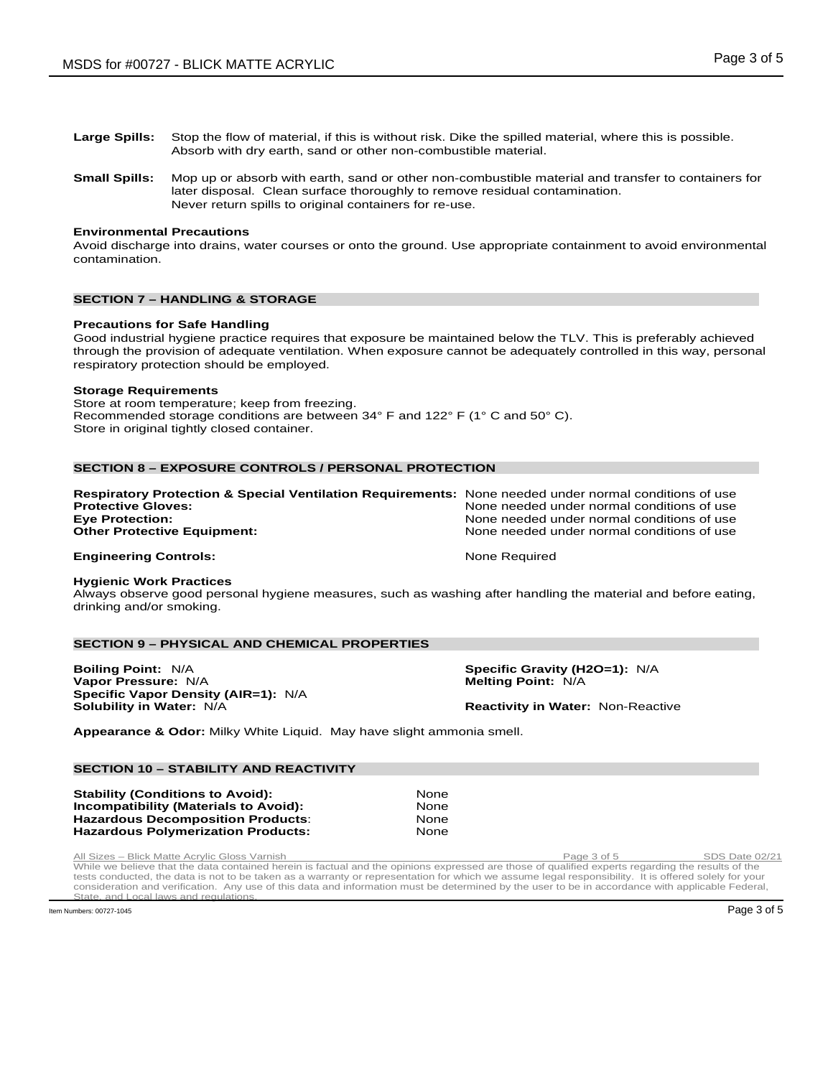- **Large Spills:** Stop the flow of material, if this is without risk. Dike the spilled material, where this is possible. Absorb with dry earth, sand or other non-combustible material.
- **Small Spills:** Mop up or absorb with earth, sand or other non-combustible material and transfer to containers for later disposal. Clean surface thoroughly to remove residual contamination. Never return spills to original containers for re-use.

# **Environmental Precautions**

Avoid discharge into drains, water courses or onto the ground. Use appropriate containment to avoid environmental contamination.

# **SECTION 7 – HANDLING & STORAGE**

# **Precautions for Safe Handling**

Good industrial hygiene practice requires that exposure be maintained below the TLV. This is preferably achieved through the provision of adequate ventilation. When exposure cannot be adequately controlled in this way, personal respiratory protection should be employed.

#### **Storage Requirements**

Store at room temperature; keep from freezing. Recommended storage conditions are between 34° F and 122° F (1° C and 50° C). Store in original tightly closed container.

# **SECTION 8 – EXPOSURE CONTROLS / PERSONAL PROTECTION**

| <b>Respiratory Protection &amp; Special Ventilation Requirements:</b> None needed under normal conditions of use |                                            |
|------------------------------------------------------------------------------------------------------------------|--------------------------------------------|
| <b>Protective Gloves:</b>                                                                                        | None needed under normal conditions of use |
| <b>Eye Protection:</b>                                                                                           | None needed under normal conditions of use |
| <b>Other Protective Equipment:</b>                                                                               | None needed under normal conditions of use |
| <b>Engineering Controls:</b>                                                                                     | None Required                              |

#### **Hygienic Work Practices**

Always observe good personal hygiene measures, such as washing after handling the material and before eating, drinking and/or smoking.

# **SECTION 9 – PHYSICAL AND CHEMICAL PROPERTIES**

**Boiling Point:** N/A **Specific Gravity (H2O=1):** N/A **Specific Gravity (H2O=1):** N/A **Vapor Pressure:** N/A **Vapor Pressure: N/A Specific Vapor Density (AIR=1):** N/A<br>Solubility in Water: N/A

**Reactivity in Water: Non-Reactive** 

**Appearance & Odor:** Milky White Liquid. May have slight ammonia smell.

#### **SECTION 10 – STABILITY AND REACTIVITY**

**Stability (Conditions to Avoid): None Incompatibility (Materials to Avoid): None None Incompatibility (Materials to Avoid): 38 Compatibility (Materials to Avoid):** None<br> **Hazardous Decomposition Products:** None **Hazardous Decomposition Products**: None **Hazardous Polymerization Products:** 

Rum Sizes – Blick Matte Acrylic Gloss Varnish **Page 3 of 5** Page 3 of 5 SDS Date 02/21<br>While we believe that the data contained herein is factual and the opinions expressed are those of qualified experts regarding the resu tests conducted, the data is not to be taken as a warranty or representation for which we assume legal responsibility. It is offered solely for your consideration and verification. Any use of this data and information must be determined by the user to be in accordance with applicable Federal, and Local laws and regulation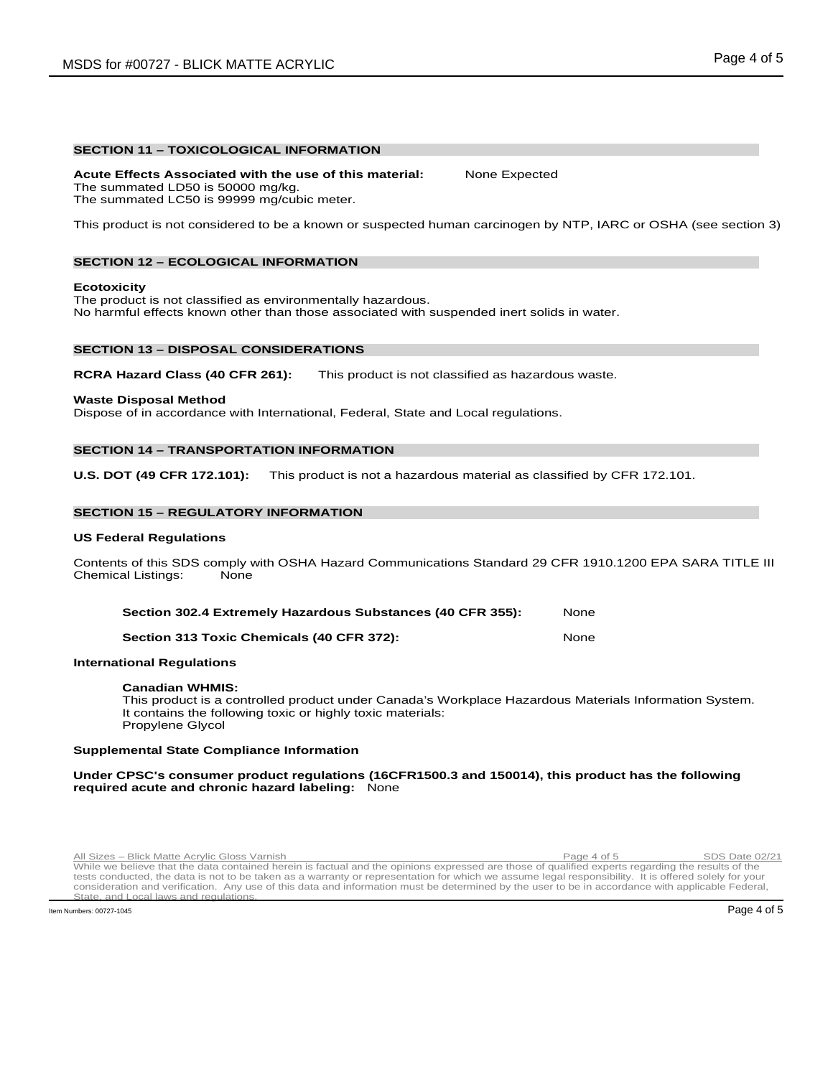#### **SECTION 11 – TOXICOLOGICAL INFORMATION**

**Acute Effects Associated with the use of this material:** None Expected The summated LD50 is 50000 mg/kg. The summated LC50 is 99999 mg/cubic meter.

This product is not considered to be a known or suspected human carcinogen by NTP, IARC or OSHA (see section 3)

# **SECTION 12 – ECOLOGICAL INFORMATION**

#### **Ecotoxicity**

The product is not classified as environmentally hazardous. No harmful effects known other than those associated with suspended inert solids in water.

#### **SECTION 13 – DISPOSAL CONSIDERATIONS**

**RCRA Hazard Class (40 CFR 261):** This product is not classified as hazardous waste.

#### **Waste Disposal Method**

Dispose of in accordance with International, Federal, State and Local regulations.

# **SECTION 14 – TRANSPORTATION INFORMATION**

**U.S. DOT (49 CFR 172.101):** This product is not a hazardous material as classified by CFR 172.101.

#### **SECTION 15 – REGULATORY INFORMATION**

#### **US Federal Regulations**

Contents of this SDS comply with OSHA Hazard Communications Standard 29 CFR 1910.1200 EPA SARA TITLE III Chemical Listings:

| Section 302.4 Extremely Hazardous Substances (40 CFR 355): | None |
|------------------------------------------------------------|------|
| Section 313 Toxic Chemicals (40 CFR 372):                  | None |

#### **International Regulations**

#### **Canadian WHMIS:**

This product is a controlled product under Canada's Workplace Hazardous Materials Information System. It contains the following toxic or highly toxic materials: Propylene Glycol

#### **Supplemental State Compliance Information**

#### **Under CPSC's consumer product regulations (16CFR1500.3 and 150014), this product has the following required acute and chronic hazard labeling:** None

Run Sizes – Blick Matte Acrylic Gloss Varnish **Page 4 of 5** Page 4 of 5 SDS Date 02/21<br>While we believe that the data contained herein is factual and the opinions expressed are those of qualified experts regarding the resu tests conducted, the data is not to be taken as a warranty or representation for which we assume legal responsibility. It is offered solely for your consideration and verification. Any use of this data and information must be determined by the user to be in accordance with applicable Federal, State, and Local laws and regulation